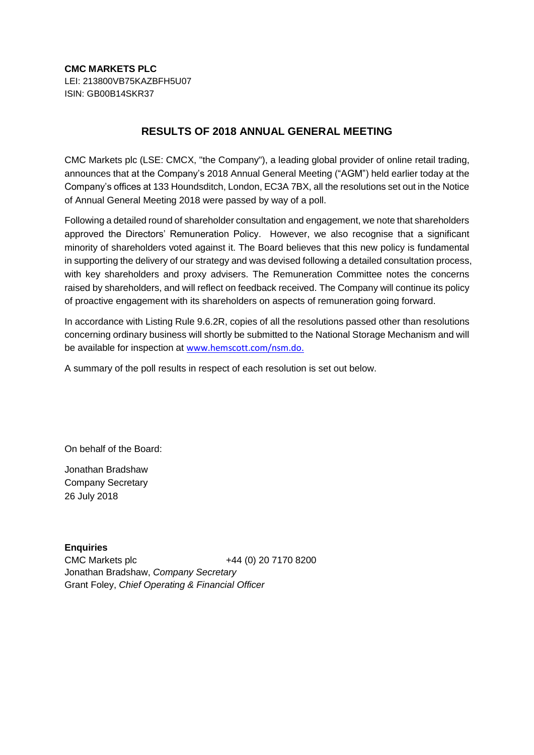## **RESULTS OF 2018 ANNUAL GENERAL MEETING**

CMC Markets plc (LSE: CMCX, "the Company"), a leading global provider of online retail trading, announces that at the Company's 2018 Annual General Meeting ("AGM") held earlier today at the Company's offices at 133 Houndsditch, London, EC3A 7BX, all the resolutions set out in the Notice of Annual General Meeting 2018 were passed by way of a poll.

Following a detailed round of shareholder consultation and engagement, we note that shareholders approved the Directors' Remuneration Policy. However, we also recognise that a significant minority of shareholders voted against it. The Board believes that this new policy is fundamental in supporting the delivery of our strategy and was devised following a detailed consultation process, with key shareholders and proxy advisers. The Remuneration Committee notes the concerns raised by shareholders, and will reflect on feedback received. The Company will continue its policy of proactive engagement with its shareholders on aspects of remuneration going forward.

In accordance with Listing Rule 9.6.2R, copies of all the resolutions passed other than resolutions concerning ordinary business will shortly be submitted to the National Storage Mechanism and will be available for inspection at [www.hemscott.com/nsm.do.](http://www.hemscott.com/nsm.do)

A summary of the poll results in respect of each resolution is set out below.

On behalf of the Board:

Jonathan Bradshaw Company Secretary 26 July 2018

**Enquiries** CMC Markets plc +44 (0) 20 7170 8200 Jonathan Bradshaw, *Company Secretary* Grant Foley, *Chief Operating & Financial Officer*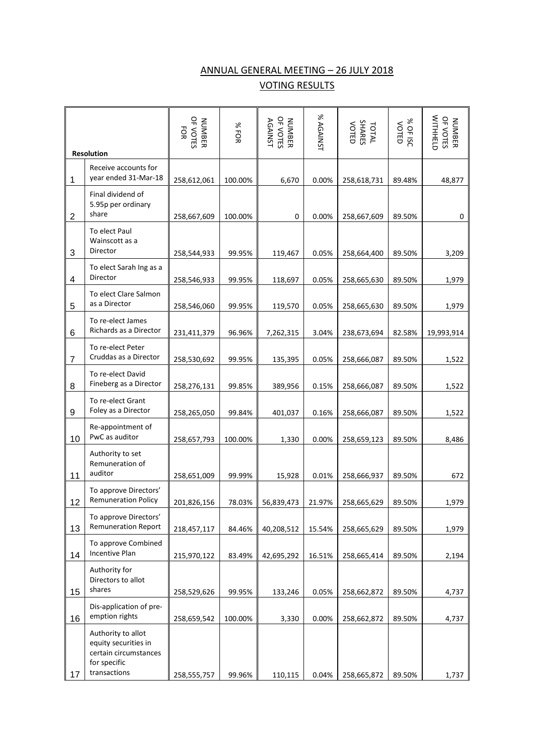## ANNUAL GENERAL MEETING – 26 JULY 2018 VOTING RESULTS

|                | <b>Resolution</b>                                                                                   | OF VOTES<br>FOR<br><b>NUMBER</b> | %FOR    | OF VOTES<br><b>AGAINST</b><br>NUMBER | % AGAINST | TOTAL<br>SHARES<br>VOTED | % OF ISC<br>VOTED | NUTHHELD<br>OF VOTES<br><b>NUMBER</b> |
|----------------|-----------------------------------------------------------------------------------------------------|----------------------------------|---------|--------------------------------------|-----------|--------------------------|-------------------|---------------------------------------|
|                |                                                                                                     |                                  |         |                                      |           |                          |                   |                                       |
| 1              | Receive accounts for<br>year ended 31-Mar-18                                                        | 258,612,061                      | 100.00% | 6,670                                | 0.00%     | 258,618,731              | 89.48%            | 48,877                                |
| $\overline{2}$ | Final dividend of<br>5.95p per ordinary<br>share                                                    | 258,667,609                      | 100.00% | 0                                    | 0.00%     | 258,667,609              | 89.50%            | 0                                     |
| 3              | To elect Paul<br>Wainscott as a<br>Director                                                         | 258,544,933                      | 99.95%  | 119,467                              | 0.05%     | 258,664,400              | 89.50%            | 3,209                                 |
|                |                                                                                                     |                                  |         |                                      |           |                          |                   |                                       |
| 4              | To elect Sarah Ing as a<br>Director                                                                 | 258,546,933                      | 99.95%  | 118,697                              | 0.05%     | 258,665,630              | 89.50%            | 1,979                                 |
| 5              | To elect Clare Salmon<br>as a Director                                                              | 258,546,060                      | 99.95%  | 119,570                              | 0.05%     | 258,665,630              | 89.50%            | 1,979                                 |
|                | To re-elect James                                                                                   |                                  |         |                                      |           |                          |                   |                                       |
| 6              | Richards as a Director                                                                              | 231,411,379                      | 96.96%  | 7,262,315                            | 3.04%     | 238,673,694              | 82.58%            | 19,993,914                            |
|                | To re-elect Peter                                                                                   |                                  |         |                                      |           |                          |                   |                                       |
| $\overline{7}$ | Cruddas as a Director                                                                               | 258,530,692                      | 99.95%  | 135,395                              | 0.05%     | 258,666,087              | 89.50%            | 1,522                                 |
| 8              | To re-elect David<br>Fineberg as a Director                                                         | 258,276,131                      | 99.85%  | 389,956                              | 0.15%     | 258,666,087              | 89.50%            | 1,522                                 |
| 9              | To re-elect Grant<br>Foley as a Director                                                            | 258,265,050                      | 99.84%  | 401,037                              | 0.16%     | 258,666,087              | 89.50%            | 1,522                                 |
| 10             | Re-appointment of<br>PwC as auditor                                                                 | 258,657,793                      | 100.00% | 1,330                                | 0.00%     | 258,659,123              | 89.50%            | 8,486                                 |
| 11             | Authority to set<br>Remuneration of<br>auditor                                                      | 258,651,009                      | 99.99%  | 15,928                               | 0.01%     | 258,666,937              | 89.50%            | 672                                   |
| 12             | To approve Directors'<br><b>Remuneration Policy</b>                                                 | 201,826,156                      | 78.03%  | 56,839,473                           | 21.97%    | 258,665,629              | 89.50%            | 1,979                                 |
|                | To approve Directors'                                                                               |                                  |         |                                      |           |                          |                   |                                       |
| 13             | <b>Remuneration Report</b>                                                                          | 218,457,117                      | 84.46%  | 40,208,512                           | 15.54%    | 258,665,629              | 89.50%            | 1,979                                 |
| 14             | To approve Combined<br><b>Incentive Plan</b>                                                        | 215,970,122                      | 83.49%  | 42,695,292                           | 16.51%    | 258,665,414              | 89.50%            | 2,194                                 |
|                |                                                                                                     |                                  |         |                                      |           |                          |                   |                                       |
|                | Authority for<br>Directors to allot<br>shares                                                       |                                  |         |                                      |           |                          |                   |                                       |
| 15             |                                                                                                     | 258,529,626                      | 99.95%  | 133,246                              | 0.05%     | 258,662,872              | 89.50%            | 4,737                                 |
| 16             | Dis-application of pre-<br>emption rights                                                           | 258,659,542                      | 100.00% | 3,330                                | 0.00%     | 258,662,872              | 89.50%            | 4,737                                 |
| 17             | Authority to allot<br>equity securities in<br>certain circumstances<br>for specific<br>transactions | 258,555,757                      | 99.96%  | 110,115                              | 0.04%     | 258,665,872              | 89.50%            | 1,737                                 |